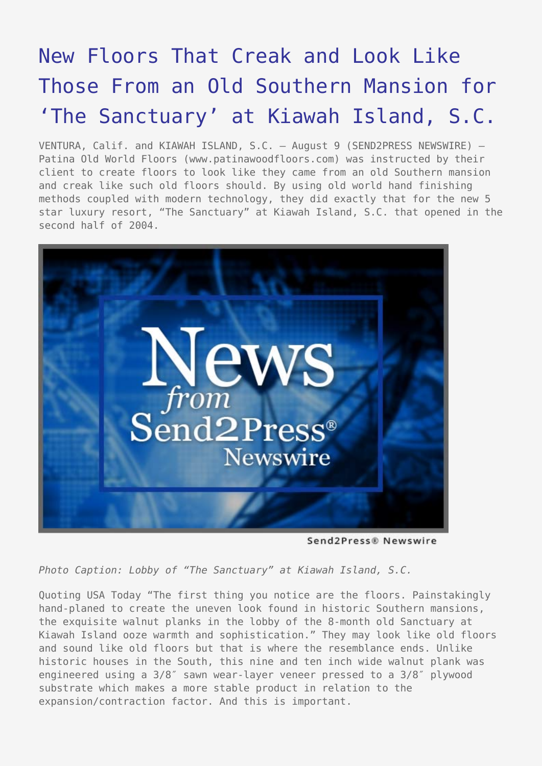## [New Floors That Creak and Look Like](https://www.send2press.com/wire/2005-08-0809-001/) [Those From an Old Southern Mansion for](https://www.send2press.com/wire/2005-08-0809-001/) ['The Sanctuary' at Kiawah Island, S.C.](https://www.send2press.com/wire/2005-08-0809-001/)

VENTURA, Calif. and KIAWAH ISLAND, S.C. - August 9 (SEND2PRESS NEWSWIRE) -Patina Old World Floors (www.patinawoodfloors.com) was instructed by their client to create floors to look like they came from an old Southern mansion and creak like such old floors should. By using old world hand finishing methods coupled with modern technology, they did exactly that for the new 5 star luxury resort, "The Sanctuary" at Kiawah Island, S.C. that opened in the second half of 2004.



Send2Press® Newswire

*Photo Caption: Lobby of "The Sanctuary" at Kiawah Island, S.C.*

Quoting USA Today "The first thing you notice are the floors. Painstakingly hand-planed to create the uneven look found in historic Southern mansions, the exquisite walnut planks in the lobby of the 8-month old Sanctuary at Kiawah Island ooze warmth and sophistication." They may look like old floors and sound like old floors but that is where the resemblance ends. Unlike historic houses in the South, this nine and ten inch wide walnut plank was engineered using a 3/8″ sawn wear-layer veneer pressed to a 3/8″ plywood substrate which makes a more stable product in relation to the expansion/contraction factor. And this is important.